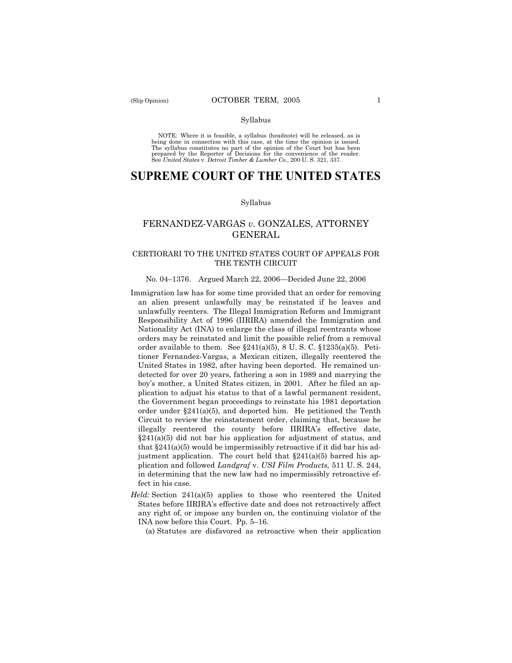#### Syllabus

NOTE: Where it is feasible, a syllabus (headnote) will be released, as is being done in connection with this case, at the time the opinion is issued. The syllabus constitutes no part of the opinion of the Court but has been<br>prepared by the Reporter of Decisions for the convenience of the reader.<br>See United States v. Detroit Timber & Lumber Co., 200 U. S. 321, 337.

# **SUPREME COURT OF THE UNITED STATES**

#### Syllabus

# FERNANDEZ-VARGAS *v*. GONZALES, ATTORNEY GENERAL

# CERTIORARI TO THE UNITED STATES COURT OF APPEALS FOR THE TENTH CIRCUIT

#### No. 04–1376. Argued March 22, 2006—Decided June 22, 2006

- Immigration law has for some time provided that an order for removing an alien present unlawfully may be reinstated if he leaves and unlawfully reenters. The Illegal Immigration Reform and Immigrant Responsibility Act of 1996 (IIRIRA) amended the Immigration and Nationality Act (INA) to enlarge the class of illegal reentrants whose orders may be reinstated and limit the possible relief from a removal order available to them. See  $\S 241(a)(5)$ , 8 U.S.C.  $\S 1235(a)(5)$ . Petitioner Fernandez-Vargas, a Mexican citizen, illegally reentered the United States in 1982, after having been deported. He remained undetected for over 20 years, fathering a son in 1989 and marrying the boy's mother, a United States citizen, in 2001. After he filed an application to adjust his status to that of a lawful permanent resident, the Government began proceedings to reinstate his 1981 deportation order under  $\S241(a)(5)$ , and deported him. He petitioned the Tenth Circuit to review the reinstatement order, claiming that, because he illegally reentered the county before IIRIRA's effective date, §241(a)(5) did not bar his application for adjustment of status, and that  $\S 241(a)(5)$  would be impermissibly retroactive if it did bar his adjustment application. The court held that  $\S241(a)(5)$  barred his application and followed *Landgraf* v. *USI Film Products,* 511 U. S. 244, in determining that the new law had no impermissibly retroactive effect in his case.
- *Held:* Section 241(a)(5) applies to those who reentered the United States before IIRIRA's effective date and does not retroactively affect any right of, or impose any burden on, the continuing violator of the INA now before this Court. Pp. 5–16.

(a) Statutes are disfavored as retroactive when their application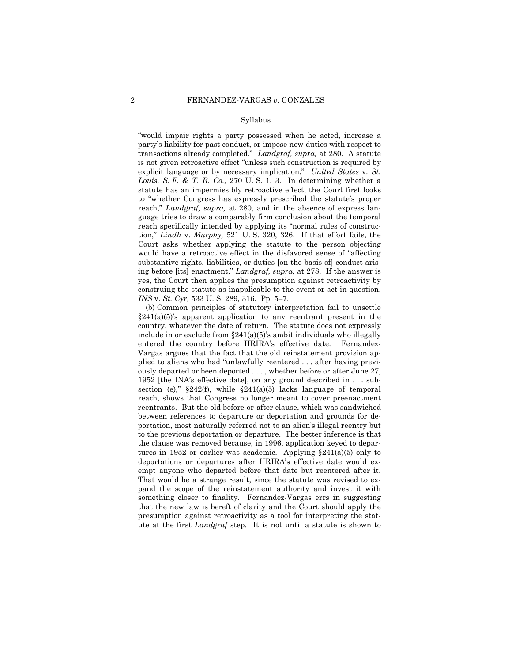#### Syllabus

"would impair rights a party possessed when he acted, increase a party's liability for past conduct, or impose new duties with respect to transactions already completed." *Landgraf, supra,* at 280. A statute is not given retroactive effect "unless such construction is required by explicit language or by necessary implication." *United States* v. *St. Louis, S. F. & T. R. Co.,* 270 U. S. 1, 3. In determining whether a statute has an impermissibly retroactive effect, the Court first looks to "whether Congress has expressly prescribed the statute's proper reach," *Landgraf, supra,* at 280, and in the absence of express language tries to draw a comparably firm conclusion about the temporal reach specifically intended by applying its "normal rules of construction," *Lindh* v. *Murphy,* 521 U. S. 320, 326. If that effort fails, the Court asks whether applying the statute to the person objecting would have a retroactive effect in the disfavored sense of "affecting substantive rights, liabilities, or duties [on the basis of] conduct arising before [its] enactment," *Landgraf, supra,* at 278. If the answer is yes, the Court then applies the presumption against retroactivity by construing the statute as inapplicable to the event or act in question. *INS* v. *St. Cyr,* 533 U. S. 289, 316. Pp. 5–7.

(b) Common principles of statutory interpretation fail to unsettle  $§241(a)(5)$ 's apparent application to any reentrant present in the country, whatever the date of return. The statute does not expressly include in or exclude from  $\S241(a)(5)$ 's ambit individuals who illegally entered the country before IIRIRA's effective date. Fernandez-Vargas argues that the fact that the old reinstatement provision applied to aliens who had "unlawfully reentered . . . after having previously departed or been deported . . . , whether before or after June 27, 1952 [the INA's effective date], on any ground described in . . . subsection (e),"  $\S 242(f)$ , while  $\S 241(a)(5)$  lacks language of temporal reach, shows that Congress no longer meant to cover preenactment reentrants. But the old before-or-after clause, which was sandwiched between references to departure or deportation and grounds for deportation, most naturally referred not to an alien's illegal reentry but to the previous deportation or departure. The better inference is that the clause was removed because, in 1996, application keyed to departures in 1952 or earlier was academic. Applying  $\S 241(a)(5)$  only to deportations or departures after IIRIRA's effective date would exempt anyone who departed before that date but reentered after it. That would be a strange result, since the statute was revised to expand the scope of the reinstatement authority and invest it with something closer to finality. Fernandez-Vargas errs in suggesting that the new law is bereft of clarity and the Court should apply the presumption against retroactivity as a tool for interpreting the statute at the first *Landgraf* step. It is not until a statute is shown to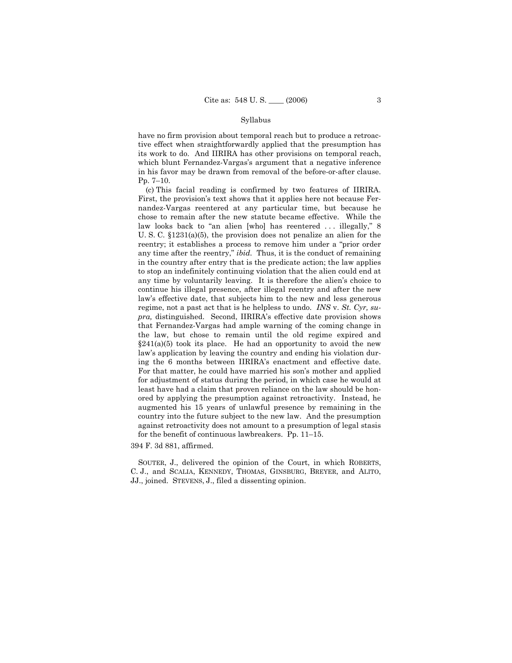#### Syllabus

have no firm provision about temporal reach but to produce a retroactive effect when straightforwardly applied that the presumption has its work to do. And IIRIRA has other provisions on temporal reach, which blunt Fernandez-Vargas's argument that a negative inference in his favor may be drawn from removal of the before-or-after clause. Pp. 7–10.

(c) This facial reading is confirmed by two features of IIRIRA. First, the provision's text shows that it applies here not because Fernandez-Vargas reentered at any particular time, but because he chose to remain after the new statute became effective. While the law looks back to "an alien [who] has reentered ... illegally," 8 U. S. C. §1231(a)(5), the provision does not penalize an alien for the reentry; it establishes a process to remove him under a "prior order any time after the reentry," *ibid.* Thus, it is the conduct of remaining in the country after entry that is the predicate action; the law applies to stop an indefinitely continuing violation that the alien could end at any time by voluntarily leaving. It is therefore the alien's choice to continue his illegal presence, after illegal reentry and after the new law's effective date, that subjects him to the new and less generous regime, not a past act that is he helpless to undo. *INS* v. *St. Cyr, supra,* distinguished. Second, IIRIRA's effective date provision shows that Fernandez-Vargas had ample warning of the coming change in the law, but chose to remain until the old regime expired and  $\S241(a)(5)$  took its place. He had an opportunity to avoid the new law's application by leaving the country and ending his violation during the 6 months between IIRIRA's enactment and effective date. For that matter, he could have married his son's mother and applied for adjustment of status during the period, in which case he would at least have had a claim that proven reliance on the law should be honored by applying the presumption against retroactivity. Instead, he augmented his 15 years of unlawful presence by remaining in the country into the future subject to the new law. And the presumption against retroactivity does not amount to a presumption of legal stasis for the benefit of continuous lawbreakers. Pp. 11–15.

394 F. 3d 881, affirmed.

SOUTER, J., delivered the opinion of the Court, in which ROBERTS, C. J., and SCALIA, KENNEDY, THOMAS, GINSBURG, BREYER, and ALITO, JJ., joined. STEVENS, J., filed a dissenting opinion.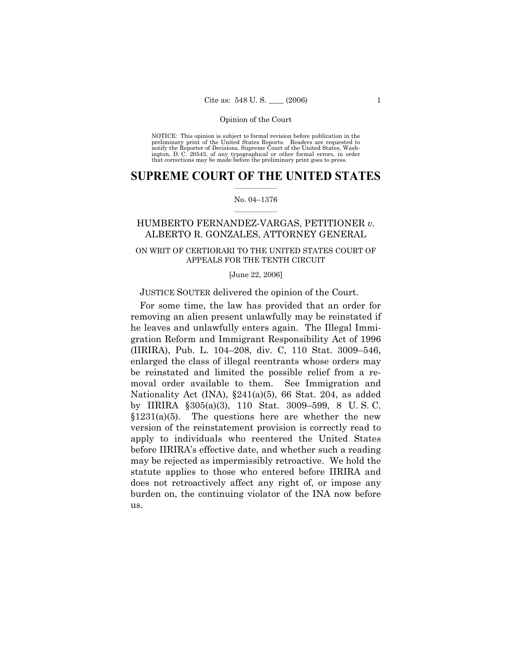NOTICE: This opinion is subject to formal revision before publication in the preliminary print of the United States Reports. Readers are requested to notify the Reporter of Decisions, Supreme Court of the United States, Washington, D. C. 20543, of any typographical or other formal errors, in order that corrections may be made before the preliminary print goes to press.

## $\frac{1}{2}$  ,  $\frac{1}{2}$  ,  $\frac{1}{2}$  ,  $\frac{1}{2}$  ,  $\frac{1}{2}$  ,  $\frac{1}{2}$  ,  $\frac{1}{2}$ **SUPREME COURT OF THE UNITED STATES**

#### $\mathcal{L}=\mathcal{L}$ No. 04–1376

# HUMBERTO FERNANDEZ-VARGAS, PETITIONER *v.* ALBERTO R. GONZALES, ATTORNEY GENERAL

# ON WRIT OF CERTIORARI TO THE UNITED STATES COURT OF APPEALS FOR THE TENTH CIRCUIT

#### [June 22, 2006]

## JUSTICE SOUTER delivered the opinion of the Court.

For some time, the law has provided that an order for removing an alien present unlawfully may be reinstated if he leaves and unlawfully enters again. The Illegal Immigration Reform and Immigrant Responsibility Act of 1996 (IIRIRA), Pub. L. 104–208, div. C, 110 Stat. 3009–546, enlarged the class of illegal reentrants whose orders may be reinstated and limited the possible relief from a removal order available to them. See Immigration and Nationality Act (INA), §241(a)(5), 66 Stat. 204, as added by IIRIRA §305(a)(3), 110 Stat. 3009–599, 8 U. S. C.  $$1231(a)(5)$ . The questions here are whether the new version of the reinstatement provision is correctly read to apply to individuals who reentered the United States before IIRIRA's effective date, and whether such a reading may be rejected as impermissibly retroactive. We hold the statute applies to those who entered before IIRIRA and does not retroactively affect any right of, or impose any burden on, the continuing violator of the INA now before us.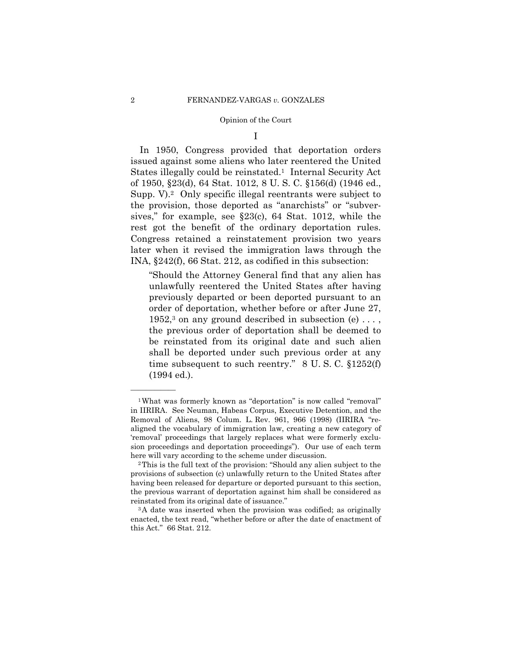I

In 1950, Congress provided that deportation orders issued against some aliens who later reentered the United States illegally could be reinstated.<sup>1</sup> Internal Security Act of 1950, §23(d), 64 Stat. 1012, 8 U. S. C. §156(d) (1946 ed., Supp. V).<sup>2</sup> Only specific illegal reentrants were subject to the provision, those deported as "anarchists" or "subversives," for example, see §23(c), 64 Stat. 1012, while the rest got the benefit of the ordinary deportation rules. Congress retained a reinstatement provision two years later when it revised the immigration laws through the INA, §242(f), 66 Stat. 212, as codified in this subsection:

"Should the Attorney General find that any alien has unlawfully reentered the United States after having previously departed or been deported pursuant to an order of deportation, whether before or after June 27,  $1952$ ,<sup>3</sup> on any ground described in subsection (e) ..., the previous order of deportation shall be deemed to be reinstated from its original date and such alien shall be deported under such previous order at any time subsequent to such reentry." 8 U. S. C. §1252(f) (1994 ed.).

<sup>1</sup>What was formerly known as "deportation" is now called "removal" in IIRIRA. See Neuman, Habeas Corpus, Executive Detention, and the Removal of Aliens, 98 Colum. L. Rev. 961, 966 (1998) (IIRIRA "realigned the vocabulary of immigration law, creating a new category of 'removal' proceedings that largely replaces what were formerly exclusion proceedings and deportation proceedings"). Our use of each term here will vary according to the scheme under discussion.<br><sup>2</sup>This is the full text of the provision: "Should any alien subject to the

provisions of subsection (c) unlawfully return to the United States after having been released for departure or deported pursuant to this section, the previous warrant of deportation against him shall be considered as reinstated from its original date of issuance." 3A date was inserted when the provision was codified; as originally

enacted, the text read, "whether before or after the date of enactment of this Act." 66 Stat. 212.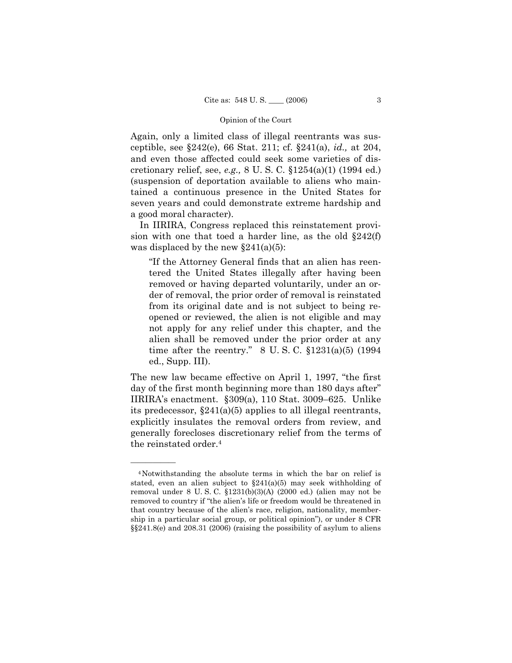Again, only a limited class of illegal reentrants was susceptible, see §242(e), 66 Stat. 211; cf. §241(a), *id.,* at 204, and even those affected could seek some varieties of discretionary relief, see, *e.g.,* 8 U. S. C. §1254(a)(1) (1994 ed.) (suspension of deportation available to aliens who maintained a continuous presence in the United States for seven years and could demonstrate extreme hardship and a good moral character).

In IIRIRA, Congress replaced this reinstatement provision with one that toed a harder line, as the old §242(f) was displaced by the new  $\S 241(a)(5)$ :

"If the Attorney General finds that an alien has reentered the United States illegally after having been removed or having departed voluntarily, under an order of removal, the prior order of removal is reinstated from its original date and is not subject to being reopened or reviewed, the alien is not eligible and may not apply for any relief under this chapter, and the alien shall be removed under the prior order at any time after the reentry." 8 U.S.C.  $$1231(a)(5)$  (1994) ed., Supp. III).

The new law became effective on April 1, 1997, "the first day of the first month beginning more than 180 days after" IIRIRA's enactment. §309(a), 110 Stat. 3009–625. Unlike its predecessor, §241(a)(5) applies to all illegal reentrants, explicitly insulates the removal orders from review, and generally forecloses discretionary relief from the terms of the reinstated order.4

<sup>4</sup>Notwithstanding the absolute terms in which the bar on relief is stated, even an alien subject to  $\S241(a)(5)$  may seek withholding of removal under 8 U. S. C. §1231(b)(3)(A) (2000 ed.) (alien may not be removed to country if "the alien's life or freedom would be threatened in that country because of the alien's race, religion, nationality, membership in a particular social group, or political opinion"), or under 8 CFR §§241.8(e) and 208.31 (2006) (raising the possibility of asylum to aliens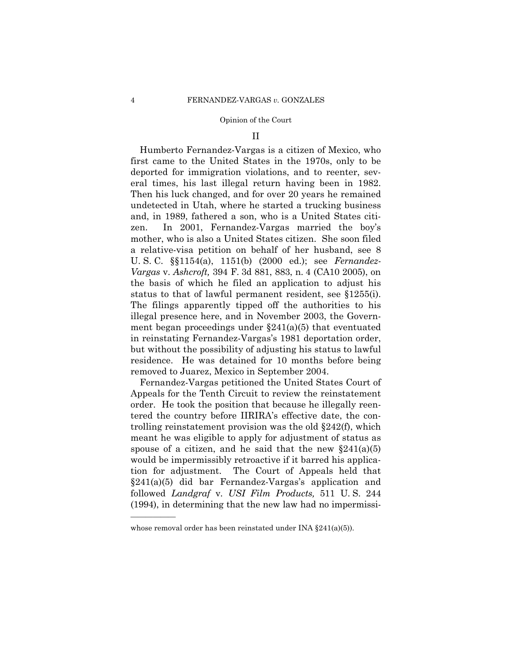### II

Humberto Fernandez-Vargas is a citizen of Mexico, who first came to the United States in the 1970s, only to be deported for immigration violations, and to reenter, several times, his last illegal return having been in 1982. Then his luck changed, and for over 20 years he remained undetected in Utah, where he started a trucking business and, in 1989, fathered a son, who is a United States citizen. In 2001, Fernandez-Vargas married the boy's mother, who is also a United States citizen. She soon filed a relative-visa petition on behalf of her husband, see 8 U. S. C. §§1154(a), 1151(b) (2000 ed.); see *Fernandez-Vargas* v. *Ashcroft,* 394 F. 3d 881, 883, n. 4 (CA10 2005), on the basis of which he filed an application to adjust his status to that of lawful permanent resident, see §1255(i). The filings apparently tipped off the authorities to his illegal presence here, and in November 2003, the Government began proceedings under  $\S241(a)(5)$  that eventuated in reinstating Fernandez-Vargas's 1981 deportation order, but without the possibility of adjusting his status to lawful residence. He was detained for 10 months before being removed to Juarez, Mexico in September 2004.

Fernandez-Vargas petitioned the United States Court of Appeals for the Tenth Circuit to review the reinstatement order. He took the position that because he illegally reentered the country before IIRIRA's effective date, the controlling reinstatement provision was the old §242(f), which meant he was eligible to apply for adjustment of status as spouse of a citizen, and he said that the new  $\S 241(a)(5)$ would be impermissibly retroactive if it barred his application for adjustment. The Court of Appeals held that §241(a)(5) did bar Fernandez-Vargas's application and followed *Landgraf* v. *USI Film Products,* 511 U. S. 244 (1994), in determining that the new law had no impermissi-

whose removal order has been reinstated under INA  $\S 241(a)(5)$ .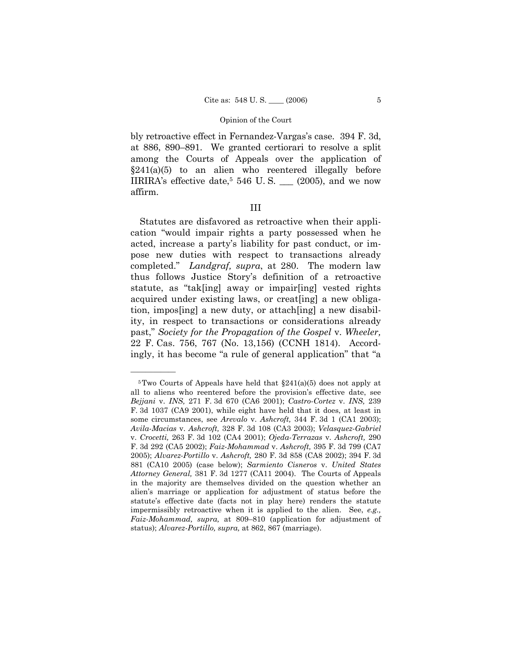bly retroactive effect in Fernandez-Vargas's case. 394 F. 3d, at 886, 890–891. We granted certiorari to resolve a split among the Courts of Appeals over the application of  $\S241(a)(5)$  to an alien who reentered illegally before IIRIRA's effective date, 5 546 U. S. \_\_\_ (2005), and we now affirm.

# III

Statutes are disfavored as retroactive when their application "would impair rights a party possessed when he acted, increase a party's liability for past conduct, or impose new duties with respect to transactions already completed." *Landgraf, supra*, at 280. The modern law thus follows Justice Story's definition of a retroactive statute, as "tak[ing] away or impair[ing] vested rights acquired under existing laws, or creat[ing] a new obligation, impos[ing] a new duty, or attach[ing] a new disability, in respect to transactions or considerations already past," *Society for the Propagation of the Gospel* v. *Wheeler,*  22 F. Cas. 756, 767 (No. 13,156) (CCNH 1814). Accordingly, it has become "a rule of general application" that "a

 $5$ Two Courts of Appeals have held that  $\S241(a)(5)$  does not apply at all to aliens who reentered before the provision's effective date, see *Bejjani* v. *INS,* 271 F. 3d 670 (CA6 2001); *Castro-Cortez* v. *INS,* 239 F. 3d 1037 (CA9 2001), while eight have held that it does, at least in some circumstances, see *Arevalo* v. *Ashcroft,* 344 F. 3d 1 (CA1 2003); *Avila-Macias* v. *Ashcroft,* 328 F. 3d 108 (CA3 2003); *Velasquez-Gabriel*  v. *Crocetti,* 263 F. 3d 102 (CA4 2001); *Ojeda-Terrazas* v. *Ashcroft,* 290 F. 3d 292 (CA5 2002); *Faiz-Mohammad* v. *Ashcroft,* 395 F. 3d 799 (CA7 2005); *Alvarez-Portillo* v. *Ashcroft,* 280 F. 3d 858 (CA8 2002); 394 F. 3d 881 (CA10 2005) (case below); *Sarmiento Cisneros* v. *United States Attorney General,* 381 F. 3d 1277 (CA11 2004). The Courts of Appeals in the majority are themselves divided on the question whether an alien's marriage or application for adjustment of status before the statute's effective date (facts not in play here) renders the statute impermissibly retroactive when it is applied to the alien. See, *e.g., Faiz-Mohammad, supra,* at 809–810 (application for adjustment of status); *Alvarez-Portillo, supra,* at 862, 867 (marriage).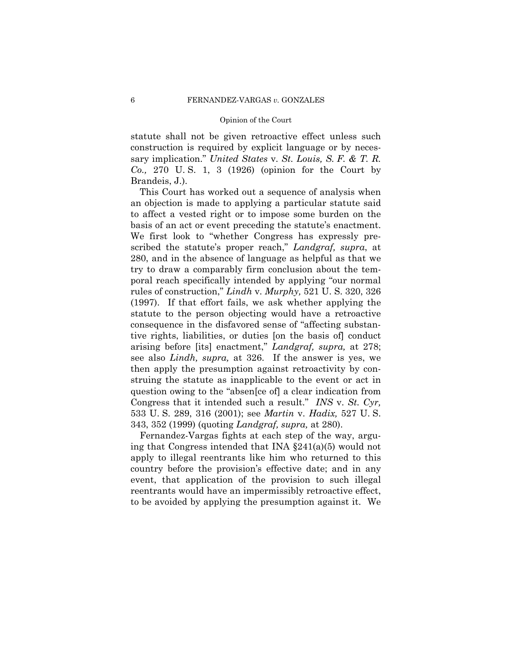statute shall not be given retroactive effect unless such construction is required by explicit language or by necessary implication." *United States* v. *St. Louis, S. F. & T. R. Co.,* 270 U. S. 1, 3 (1926) (opinion for the Court by Brandeis, J.).

This Court has worked out a sequence of analysis when an objection is made to applying a particular statute said to affect a vested right or to impose some burden on the basis of an act or event preceding the statute's enactment. We first look to "whether Congress has expressly prescribed the statute's proper reach," *Landgraf, supra*, at 280, and in the absence of language as helpful as that we try to draw a comparably firm conclusion about the temporal reach specifically intended by applying "our normal rules of construction," *Lindh* v. *Murphy,* 521 U. S. 320, 326 (1997). If that effort fails, we ask whether applying the statute to the person objecting would have a retroactive consequence in the disfavored sense of "affecting substantive rights, liabilities, or duties [on the basis of] conduct arising before [its] enactment," *Landgraf, supra,* at 278; see also *Lindh, supra,* at 326. If the answer is yes, we then apply the presumption against retroactivity by construing the statute as inapplicable to the event or act in question owing to the "absen[ce of] a clear indication from Congress that it intended such a result." *INS* v. *St. Cyr,*  533 U. S. 289, 316 (2001); see *Martin* v. *Hadix,* 527 U. S. 343, 352 (1999) (quoting *Landgraf, supra,* at 280).

Fernandez-Vargas fights at each step of the way, arguing that Congress intended that INA §241(a)(5) would not apply to illegal reentrants like him who returned to this country before the provision's effective date; and in any event, that application of the provision to such illegal reentrants would have an impermissibly retroactive effect, to be avoided by applying the presumption against it. We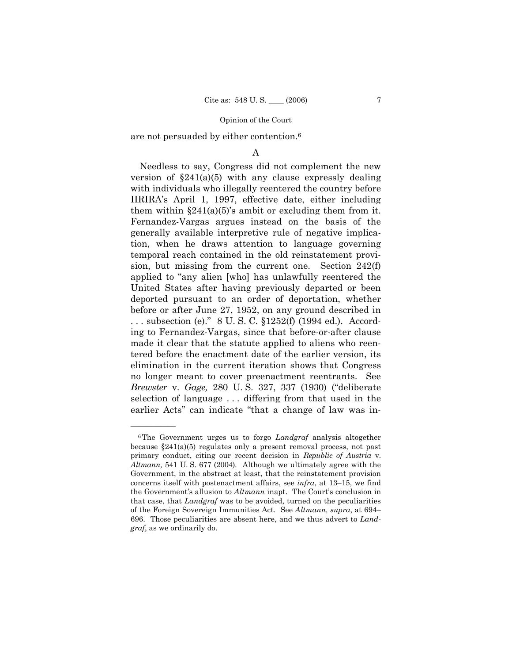are not persuaded by either contention.6

# A

Needless to say, Congress did not complement the new version of  $\S241(a)(5)$  with any clause expressly dealing with individuals who illegally reentered the country before IIRIRA's April 1, 1997, effective date, either including them within  $\S 241(a)(5)$ 's ambit or excluding them from it. Fernandez-Vargas argues instead on the basis of the generally available interpretive rule of negative implication, when he draws attention to language governing temporal reach contained in the old reinstatement provision, but missing from the current one. Section 242(f) applied to "any alien [who] has unlawfully reentered the United States after having previously departed or been deported pursuant to an order of deportation, whether before or after June 27, 1952, on any ground described in . . . subsection (e)." 8 U. S. C. §1252(f) (1994 ed.). According to Fernandez-Vargas, since that before-or-after clause made it clear that the statute applied to aliens who reentered before the enactment date of the earlier version, its elimination in the current iteration shows that Congress no longer meant to cover preenactment reentrants. See *Brewster* v. *Gage,* 280 U. S. 327, 337 (1930) ("deliberate selection of language . . . differing from that used in the earlier Acts" can indicate "that a change of law was in-

<sup>6</sup>The Government urges us to forgo *Landgraf* analysis altogether because §241(a)(5) regulates only a present removal process, not past primary conduct, citing our recent decision in *Republic of Austria* v. *Altmann,* 541 U. S. 677 (2004). Although we ultimately agree with the Government, in the abstract at least, that the reinstatement provision concerns itself with postenactment affairs, see *infra*, at 13–15, we find the Government's allusion to *Altmann* inapt. The Court's conclusion in that case, that *Landgraf* was to be avoided, turned on the peculiarities of the Foreign Sovereign Immunities Act. See *Altmann, supra*, at 694– 696. Those peculiarities are absent here, and we thus advert to *Landgraf*, as we ordinarily do.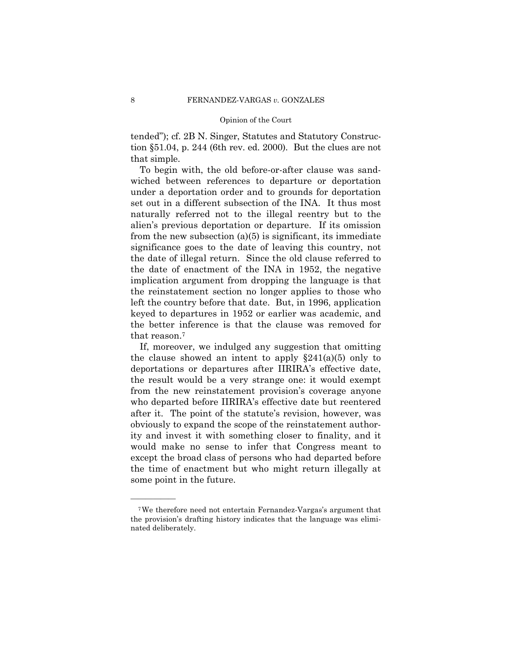tended"); cf. 2B N. Singer, Statutes and Statutory Construction §51.04, p. 244 (6th rev. ed. 2000). But the clues are not that simple.

To begin with, the old before-or-after clause was sandwiched between references to departure or deportation under a deportation order and to grounds for deportation set out in a different subsection of the INA. It thus most naturally referred not to the illegal reentry but to the alien's previous deportation or departure. If its omission from the new subsection  $(a)(5)$  is significant, its immediate significance goes to the date of leaving this country, not the date of illegal return. Since the old clause referred to the date of enactment of the INA in 1952, the negative implication argument from dropping the language is that the reinstatement section no longer applies to those who left the country before that date. But, in 1996, application keyed to departures in 1952 or earlier was academic, and the better inference is that the clause was removed for that reason.7

If, moreover, we indulged any suggestion that omitting the clause showed an intent to apply  $\S 241(a)(5)$  only to deportations or departures after IIRIRA's effective date, the result would be a very strange one: it would exempt from the new reinstatement provision's coverage anyone who departed before IIRIRA's effective date but reentered after it. The point of the statute's revision, however, was obviously to expand the scope of the reinstatement authority and invest it with something closer to finality, and it would make no sense to infer that Congress meant to except the broad class of persons who had departed before the time of enactment but who might return illegally at some point in the future.

<sup>7</sup>We therefore need not entertain Fernandez-Vargas's argument that the provision's drafting history indicates that the language was eliminated deliberately.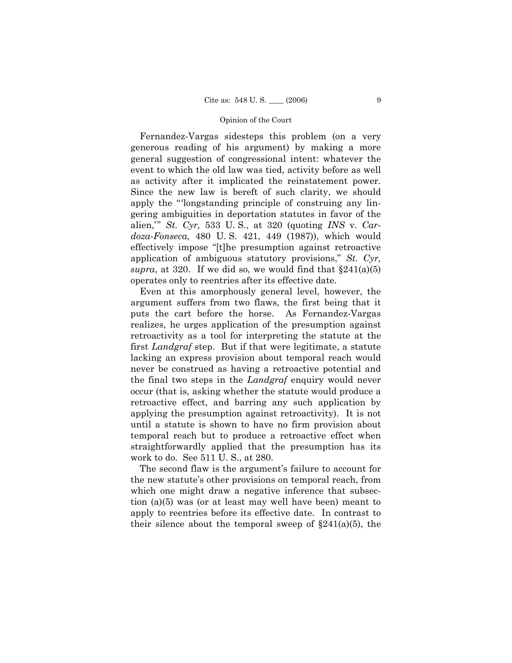Fernandez-Vargas sidesteps this problem (on a very generous reading of his argument) by making a more general suggestion of congressional intent: whatever the event to which the old law was tied, activity before as well as activity after it implicated the reinstatement power. Since the new law is bereft of such clarity, we should apply the "'longstanding principle of construing any lingering ambiguities in deportation statutes in favor of the alien,'" *St. Cyr,* 533 U. S., at 320 (quoting *INS* v. *Cardoza-Fonseca,* 480 U. S. 421, 449 (1987)), which would effectively impose "[t]he presumption against retroactive application of ambiguous statutory provisions," *St. Cyr, supra*, at 320. If we did so, we would find that  $\S 241(a)(5)$ operates only to reentries after its effective date.

Even at this amorphously general level, however, the argument suffers from two flaws, the first being that it puts the cart before the horse. As Fernandez-Vargas realizes, he urges application of the presumption against retroactivity as a tool for interpreting the statute at the first *Landgraf* step. But if that were legitimate, a statute lacking an express provision about temporal reach would never be construed as having a retroactive potential and the final two steps in the *Landgraf* enquiry would never occur (that is, asking whether the statute would produce a retroactive effect, and barring any such application by applying the presumption against retroactivity). It is not until a statute is shown to have no firm provision about temporal reach but to produce a retroactive effect when straightforwardly applied that the presumption has its work to do. See 511 U. S., at 280.

The second flaw is the argument's failure to account for the new statute's other provisions on temporal reach, from which one might draw a negative inference that subsection (a)(5) was (or at least may well have been) meant to apply to reentries before its effective date. In contrast to their silence about the temporal sweep of  $\S241(a)(5)$ , the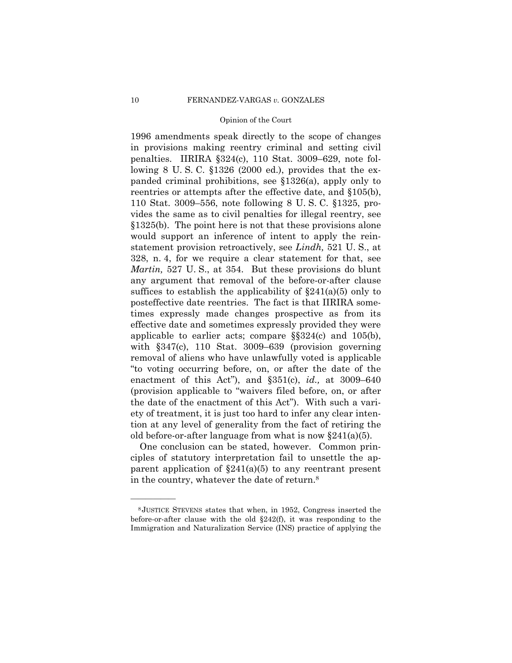1996 amendments speak directly to the scope of changes in provisions making reentry criminal and setting civil penalties. IIRIRA §324(c), 110 Stat. 3009–629, note following 8 U. S. C. §1326 (2000 ed.), provides that the expanded criminal prohibitions, see §1326(a), apply only to reentries or attempts after the effective date, and §105(b), 110 Stat. 3009–556, note following 8 U. S. C. §1325, provides the same as to civil penalties for illegal reentry, see §1325(b). The point here is not that these provisions alone would support an inference of intent to apply the reinstatement provision retroactively, see *Lindh,* 521 U. S., at 328, n. 4, for we require a clear statement for that, see *Martin,* 527 U. S., at 354. But these provisions do blunt any argument that removal of the before-or-after clause suffices to establish the applicability of  $\S241(a)(5)$  only to posteffective date reentries. The fact is that IIRIRA sometimes expressly made changes prospective as from its effective date and sometimes expressly provided they were applicable to earlier acts; compare §§324(c) and 105(b), with §347(c), 110 Stat. 3009–639 (provision governing removal of aliens who have unlawfully voted is applicable "to voting occurring before, on, or after the date of the enactment of this Act"), and §351(c), *id.,* at 3009–640 (provision applicable to "waivers filed before, on, or after the date of the enactment of this Act"). With such a variety of treatment, it is just too hard to infer any clear intention at any level of generality from the fact of retiring the old before-or-after language from what is now  $\S 241(a)(5)$ .

One conclusion can be stated, however. Common principles of statutory interpretation fail to unsettle the apparent application of  $\S241(a)(5)$  to any reentrant present in the country, whatever the date of return.8

<sup>8</sup> JUSTICE STEVENS states that when, in 1952, Congress inserted the before-or-after clause with the old  $\S242(f)$ , it was responding to the Immigration and Naturalization Service (INS) practice of applying the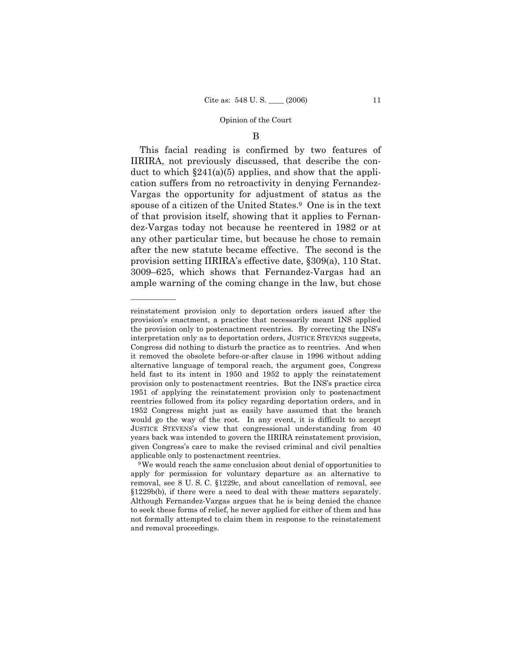### B

This facial reading is confirmed by two features of IIRIRA, not previously discussed, that describe the conduct to which  $\S241(a)(5)$  applies, and show that the application suffers from no retroactivity in denying Fernandez-Vargas the opportunity for adjustment of status as the spouse of a citizen of the United States.9 One is in the text of that provision itself, showing that it applies to Fernandez-Vargas today not because he reentered in 1982 or at any other particular time, but because he chose to remain after the new statute became effective. The second is the provision setting IIRIRA's effective date, §309(a), 110 Stat. 3009–625, which shows that Fernandez-Vargas had an ample warning of the coming change in the law, but chose

reinstatement provision only to deportation orders issued after the provision's enactment, a practice that necessarily meant INS applied the provision only to postenactment reentries. By correcting the INS's interpretation only as to deportation orders, JUSTICE STEVENS suggests, Congress did nothing to disturb the practice as to reentries. And when it removed the obsolete before-or-after clause in 1996 without adding alternative language of temporal reach, the argument goes, Congress held fast to its intent in 1950 and 1952 to apply the reinstatement provision only to postenactment reentries. But the INS's practice circa 1951 of applying the reinstatement provision only to postenactment reentries followed from its policy regarding deportation orders, and in 1952 Congress might just as easily have assumed that the branch would go the way of the root. In any event, it is difficult to accept JUSTICE STEVENS's view that congressional understanding from 40 years back was intended to govern the IIRIRA reinstatement provision, given Congress's care to make the revised criminal and civil penalties applicable only to postenactment reentries. 9We would reach the same conclusion about denial of opportunities to

apply for permission for voluntary departure as an alternative to removal, see 8 U. S. C. §1229c, and about cancellation of removal, see §1229b(b), if there were a need to deal with these matters separately. Although Fernandez-Vargas argues that he is being denied the chance to seek these forms of relief, he never applied for either of them and has not formally attempted to claim them in response to the reinstatement and removal proceedings.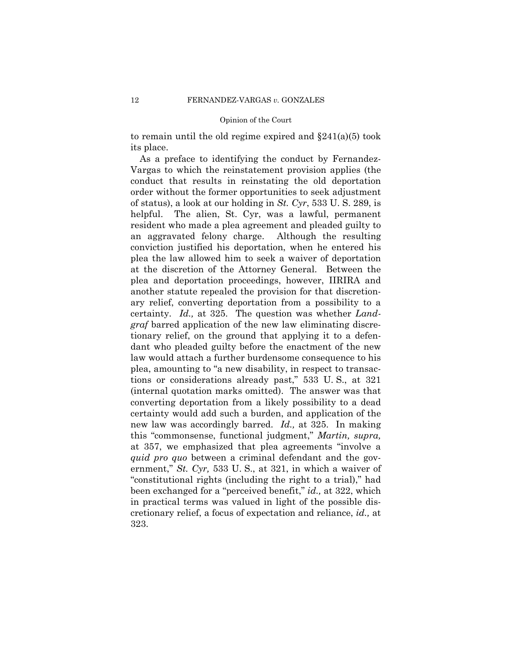to remain until the old regime expired and §241(a)(5) took its place.

As a preface to identifying the conduct by Fernandez-Vargas to which the reinstatement provision applies (the conduct that results in reinstating the old deportation order without the former opportunities to seek adjustment of status), a look at our holding in *St. Cyr*, 533 U. S. 289, is helpful. The alien, St. Cyr, was a lawful, permanent resident who made a plea agreement and pleaded guilty to an aggravated felony charge. Although the resulting conviction justified his deportation, when he entered his plea the law allowed him to seek a waiver of deportation at the discretion of the Attorney General. Between the plea and deportation proceedings, however, IIRIRA and another statute repealed the provision for that discretionary relief, converting deportation from a possibility to a certainty. *Id.,* at 325. The question was whether *Landgraf* barred application of the new law eliminating discretionary relief, on the ground that applying it to a defendant who pleaded guilty before the enactment of the new law would attach a further burdensome consequence to his plea, amounting to "a new disability, in respect to transactions or considerations already past," 533 U. S., at 321 (internal quotation marks omitted). The answer was that converting deportation from a likely possibility to a dead certainty would add such a burden, and application of the new law was accordingly barred. *Id.,* at 325. In making this "commonsense, functional judgment," *Martin, supra,* at 357, we emphasized that plea agreements "involve a *quid pro quo* between a criminal defendant and the government," *St. Cyr,* 533 U. S., at 321, in which a waiver of "constitutional rights (including the right to a trial)," had been exchanged for a "perceived benefit," *id.,* at 322, which in practical terms was valued in light of the possible discretionary relief, a focus of expectation and reliance, *id.,* at 323.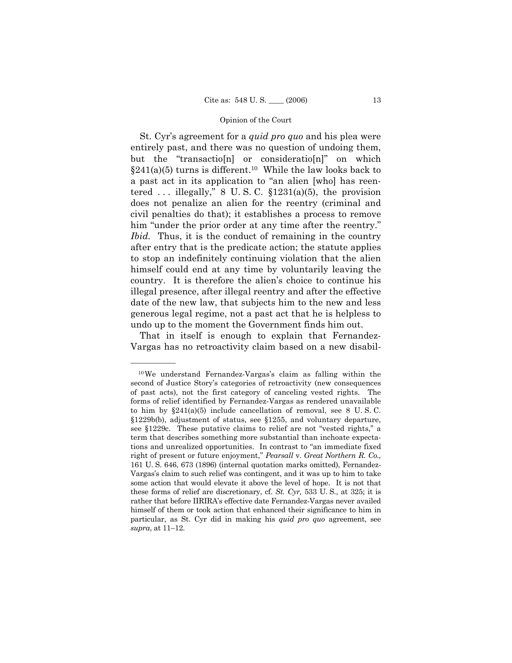St. Cyr's agreement for a *quid pro quo* and his plea were entirely past, and there was no question of undoing them, but the "transactio[n] or consideratio[n]" on which  $\S241(a)(5)$  turns is different.<sup>10</sup> While the law looks back to a past act in its application to "an alien [who] has reentered ... illegally,"  $\& U. S. C. \S 1231(a)(5)$ , the provision does not penalize an alien for the reentry (criminal and civil penalties do that); it establishes a process to remove him "under the prior order at any time after the reentry." *Ibid.* Thus, it is the conduct of remaining in the country after entry that is the predicate action; the statute applies to stop an indefinitely continuing violation that the alien himself could end at any time by voluntarily leaving the country. It is therefore the alien's choice to continue his illegal presence, after illegal reentry and after the effective date of the new law, that subjects him to the new and less generous legal regime, not a past act that he is helpless to undo up to the moment the Government finds him out.

That in itself is enough to explain that Fernandez-Vargas has no retroactivity claim based on a new disabil-

<sup>10</sup>We understand Fernandez-Vargas's claim as falling within the second of Justice Story's categories of retroactivity (new consequences of past acts), not the first category of canceling vested rights. The forms of relief identified by Fernandez-Vargas as rendered unavailable to him by  $\S 241(a)(5)$  include cancellation of removal, see 8 U.S.C. §1229b(b), adjustment of status, see §1255, and voluntary departure, see §1229c. These putative claims to relief are not "vested rights," a term that describes something more substantial than inchoate expectations and unrealized opportunities. In contrast to "an immediate fixed right of present or future enjoyment," *Pearsall* v. *Great Northern R. Co.,*  161 U. S. 646, 673 (1896) (internal quotation marks omitted), Fernandez-Vargas's claim to such relief was contingent, and it was up to him to take some action that would elevate it above the level of hope. It is not that these forms of relief are discretionary, cf. *St. Cyr,* 533 U. S., at 325; it is rather that before IIRIRA's effective date Fernandez-Vargas never availed himself of them or took action that enhanced their significance to him in particular, as St. Cyr did in making his *quid pro quo* agreement, see *supra*, at 11–12.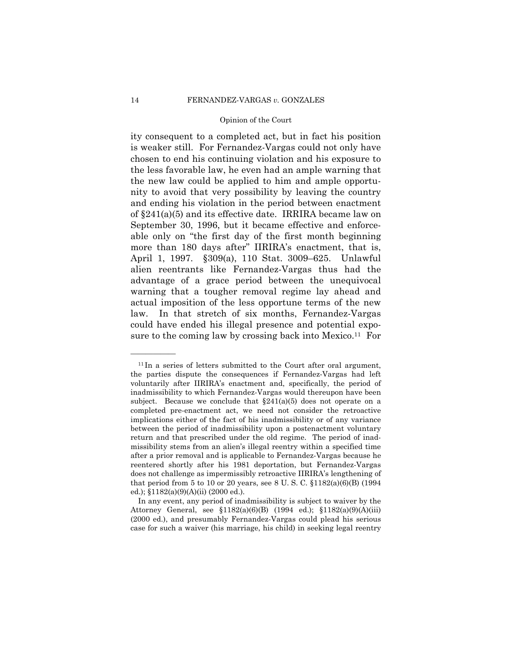ity consequent to a completed act, but in fact his position is weaker still. For Fernandez-Vargas could not only have chosen to end his continuing violation and his exposure to the less favorable law, he even had an ample warning that the new law could be applied to him and ample opportunity to avoid that very possibility by leaving the country and ending his violation in the period between enactment of §241(a)(5) and its effective date. IRRIRA became law on September 30, 1996, but it became effective and enforceable only on "the first day of the first month beginning more than 180 days after" IIRIRA's enactment, that is, April 1, 1997. §309(a), 110 Stat. 3009–625. Unlawful alien reentrants like Fernandez-Vargas thus had the advantage of a grace period between the unequivocal warning that a tougher removal regime lay ahead and actual imposition of the less opportune terms of the new law. In that stretch of six months, Fernandez-Vargas could have ended his illegal presence and potential exposure to the coming law by crossing back into Mexico.<sup>11</sup> For

 $11$  In a series of letters submitted to the Court after oral argument. the parties dispute the consequences if Fernandez-Vargas had left voluntarily after IIRIRA's enactment and, specifically, the period of inadmissibility to which Fernandez-Vargas would thereupon have been subject. Because we conclude that  $\S241(a)(5)$  does not operate on a completed pre-enactment act, we need not consider the retroactive implications either of the fact of his inadmissibility or of any variance between the period of inadmissibility upon a postenactment voluntary return and that prescribed under the old regime. The period of inadmissibility stems from an alien's illegal reentry within a specified time after a prior removal and is applicable to Fernandez-Vargas because he reentered shortly after his 1981 deportation, but Fernandez-Vargas does not challenge as impermissibly retroactive IIRIRA's lengthening of that period from 5 to 10 or 20 years, see 8 U.S.C.  $$1182(a)(6)(B) (1994)$ ed.); §1182(a)(9)(A)(ii) (2000 ed.).

In any event, any period of inadmissibility is subject to waiver by the Attorney General, see §1182(a)(6)(B) (1994 ed.); §1182(a)(9)(A)(iii) (2000 ed.), and presumably Fernandez-Vargas could plead his serious case for such a waiver (his marriage, his child) in seeking legal reentry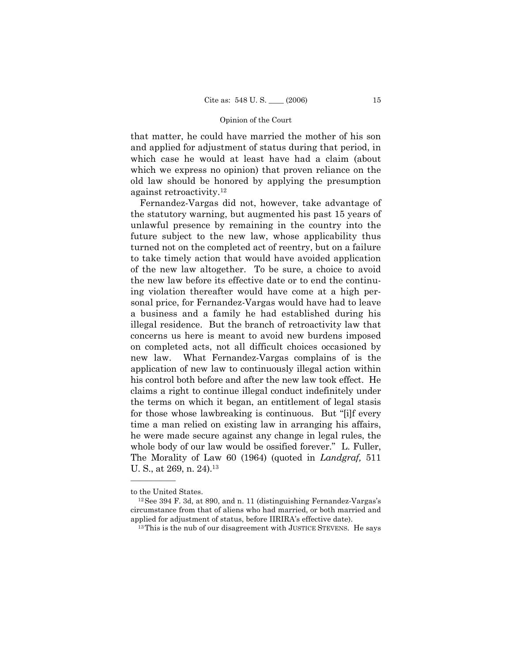that matter, he could have married the mother of his son and applied for adjustment of status during that period, in which case he would at least have had a claim (about which we express no opinion) that proven reliance on the old law should be honored by applying the presumption against retroactivity.12

Fernandez-Vargas did not, however, take advantage of the statutory warning, but augmented his past 15 years of unlawful presence by remaining in the country into the future subject to the new law, whose applicability thus turned not on the completed act of reentry, but on a failure to take timely action that would have avoided application of the new law altogether. To be sure, a choice to avoid the new law before its effective date or to end the continuing violation thereafter would have come at a high personal price, for Fernandez-Vargas would have had to leave a business and a family he had established during his illegal residence. But the branch of retroactivity law that concerns us here is meant to avoid new burdens imposed on completed acts, not all difficult choices occasioned by new law. What Fernandez-Vargas complains of is the application of new law to continuously illegal action within his control both before and after the new law took effect. He claims a right to continue illegal conduct indefinitely under the terms on which it began, an entitlement of legal stasis for those whose lawbreaking is continuous. But "[i]f every time a man relied on existing law in arranging his affairs, he were made secure against any change in legal rules, the whole body of our law would be ossified forever." L. Fuller, The Morality of Law 60 (1964) (quoted in *Landgraf,* 511 U. S., at 269, n. 24).<sup>13</sup>

to the United States.<br><sup>12</sup>See 394 F. 3d, at 890, and n. 11 (distinguishing Fernandez-Vargas's circumstance from that of aliens who had married, or both married and applied for adjustment of status, before IIRIRA's effective date). 13This is the nub of our disagreement with JUSTICE STEVENS. He says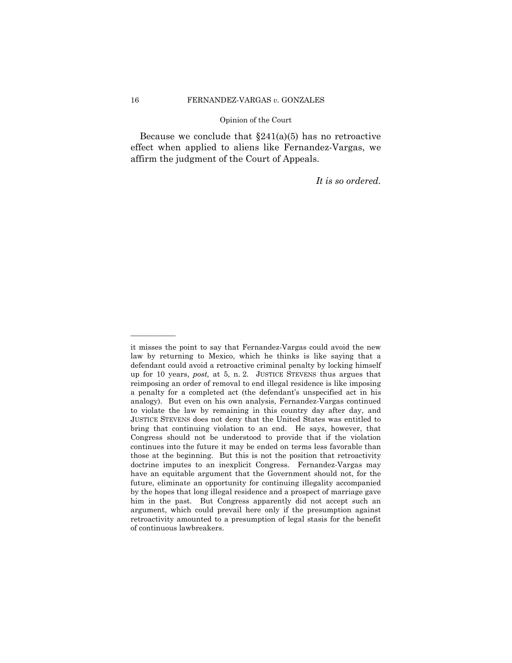Because we conclude that  $\S241(a)(5)$  has no retroactive effect when applied to aliens like Fernandez-Vargas, we affirm the judgment of the Court of Appeals.

*It is so ordered.* 

it misses the point to say that Fernandez-Vargas could avoid the new law by returning to Mexico, which he thinks is like saying that a defendant could avoid a retroactive criminal penalty by locking himself up for 10 years, *post,* at 5, n. 2. JUSTICE STEVENS thus argues that reimposing an order of removal to end illegal residence is like imposing a penalty for a completed act (the defendant's unspecified act in his analogy). But even on his own analysis, Fernandez-Vargas continued to violate the law by remaining in this country day after day, and JUSTICE STEVENS does not deny that the United States was entitled to bring that continuing violation to an end. He says, however, that Congress should not be understood to provide that if the violation continues into the future it may be ended on terms less favorable than those at the beginning. But this is not the position that retroactivity doctrine imputes to an inexplicit Congress. Fernandez-Vargas may have an equitable argument that the Government should not, for the future, eliminate an opportunity for continuing illegality accompanied by the hopes that long illegal residence and a prospect of marriage gave him in the past. But Congress apparently did not accept such an argument, which could prevail here only if the presumption against retroactivity amounted to a presumption of legal stasis for the benefit of continuous lawbreakers.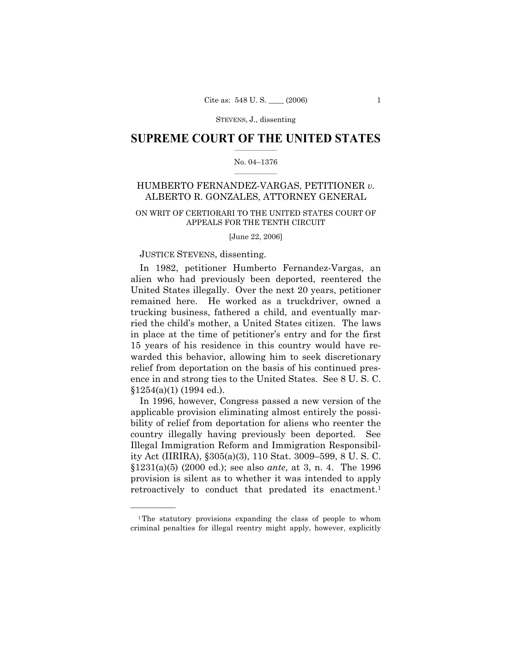## $\frac{1}{2}$  ,  $\frac{1}{2}$  ,  $\frac{1}{2}$  ,  $\frac{1}{2}$  ,  $\frac{1}{2}$  ,  $\frac{1}{2}$  ,  $\frac{1}{2}$ **SUPREME COURT OF THE UNITED STATES**

#### $\mathcal{L}=\mathcal{L}$ No. 04–1376

# HUMBERTO FERNANDEZ-VARGAS, PETITIONER *v.* ALBERTO R. GONZALES, ATTORNEY GENERAL

# ON WRIT OF CERTIORARI TO THE UNITED STATES COURT OF APPEALS FOR THE TENTH CIRCUIT

[June 22, 2006]

## JUSTICE STEVENS, dissenting.

——————

In 1982, petitioner Humberto Fernandez-Vargas, an alien who had previously been deported, reentered the United States illegally. Over the next 20 years, petitioner remained here. He worked as a truckdriver, owned a trucking business, fathered a child, and eventually married the child's mother, a United States citizen. The laws in place at the time of petitioner's entry and for the first 15 years of his residence in this country would have rewarded this behavior, allowing him to seek discretionary relief from deportation on the basis of his continued presence in and strong ties to the United States. See 8 U. S. C. §1254(a)(1) (1994 ed.).

In 1996, however, Congress passed a new version of the applicable provision eliminating almost entirely the possibility of relief from deportation for aliens who reenter the country illegally having previously been deported. See Illegal Immigration Reform and Immigration Responsibility Act (IIRIRA), §305(a)(3), 110 Stat. 3009–599, 8 U. S. C. §1231(a)(5) (2000 ed.); see also *ante*, at 3, n. 4. The 1996 provision is silent as to whether it was intended to apply retroactively to conduct that predated its enactment.<sup>1</sup>

<sup>1</sup>The statutory provisions expanding the class of people to whom criminal penalties for illegal reentry might apply, however, explicitly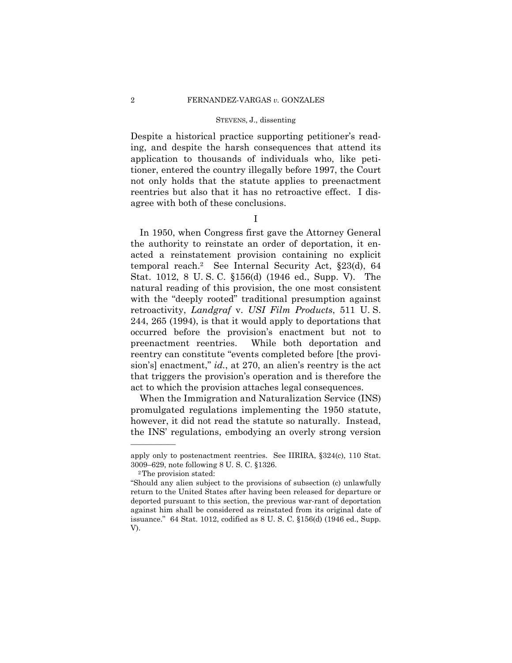Despite a historical practice supporting petitioner's reading, and despite the harsh consequences that attend its application to thousands of individuals who, like petitioner, entered the country illegally before 1997, the Court not only holds that the statute applies to preenactment reentries but also that it has no retroactive effect. I disagree with both of these conclusions.

I

In 1950, when Congress first gave the Attorney General the authority to reinstate an order of deportation, it enacted a reinstatement provision containing no explicit temporal reach.2 See Internal Security Act, §23(d), 64 Stat. 1012, 8 U. S. C. §156(d) (1946 ed., Supp. V). The natural reading of this provision, the one most consistent with the "deeply rooted" traditional presumption against retroactivity, *Landgraf* v. *USI Film Products*, 511 U. S. 244, 265 (1994), is that it would apply to deportations that occurred before the provision's enactment but not to preenactment reentries. While both deportation and reentry can constitute "events completed before [the provision's] enactment," *id.*, at 270, an alien's reentry is the act that triggers the provision's operation and is therefore the act to which the provision attaches legal consequences.

When the Immigration and Naturalization Service (INS) promulgated regulations implementing the 1950 statute, however, it did not read the statute so naturally. Instead, the INS' regulations, embodying an overly strong version

apply only to postenactment reentries. See IIRIRA, §324(c), 110 Stat. 3009–629, note following 8 U. S. C. §1326. 2The provision stated:

<sup>&</sup>quot;Should any alien subject to the provisions of subsection (c) unlawfully return to the United States after having been released for departure or deported pursuant to this section, the previous war-rant of deportation against him shall be considered as reinstated from its original date of issuance." 64 Stat. 1012, codified as 8 U. S. C. §156(d) (1946 ed., Supp. V).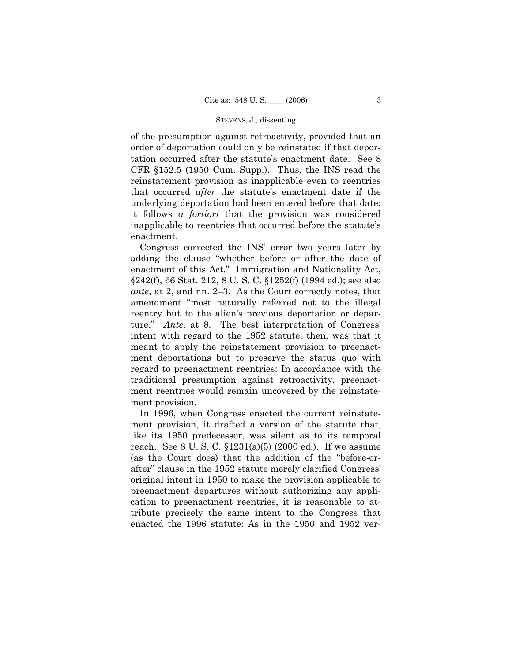of the presumption against retroactivity, provided that an order of deportation could only be reinstated if that deportation occurred after the statute's enactment date. See 8 CFR §152.5 (1950 Cum. Supp.). Thus, the INS read the reinstatement provision as inapplicable even to reentries that occurred *after* the statute's enactment date if the underlying deportation had been entered before that date; it follows *a fortiori* that the provision was considered inapplicable to reentries that occurred before the statute's enactment.

Congress corrected the INS' error two years later by adding the clause "whether before or after the date of enactment of this Act." Immigration and Nationality Act, §242(f), 66 Stat. 212, 8 U. S. C. §1252(f) (1994 ed.); see also *ante*, at 2, and nn. 2–3. As the Court correctly notes, that amendment "most naturally referred not to the illegal reentry but to the alien's previous deportation or departure." *Ante*, at 8. The best interpretation of Congress' intent with regard to the 1952 statute, then, was that it meant to apply the reinstatement provision to preenactment deportations but to preserve the status quo with regard to preenactment reentries: In accordance with the traditional presumption against retroactivity, preenactment reentries would remain uncovered by the reinstatement provision.

In 1996, when Congress enacted the current reinstatement provision, it drafted a version of the statute that, like its 1950 predecessor, was silent as to its temporal reach. See 8 U. S. C. §1231(a)(5) (2000 ed.). If we assume (as the Court does) that the addition of the "before-orafter" clause in the 1952 statute merely clarified Congress' original intent in 1950 to make the provision applicable to preenactment departures without authorizing any application to preenactment reentries, it is reasonable to attribute precisely the same intent to the Congress that enacted the 1996 statute: As in the 1950 and 1952 ver-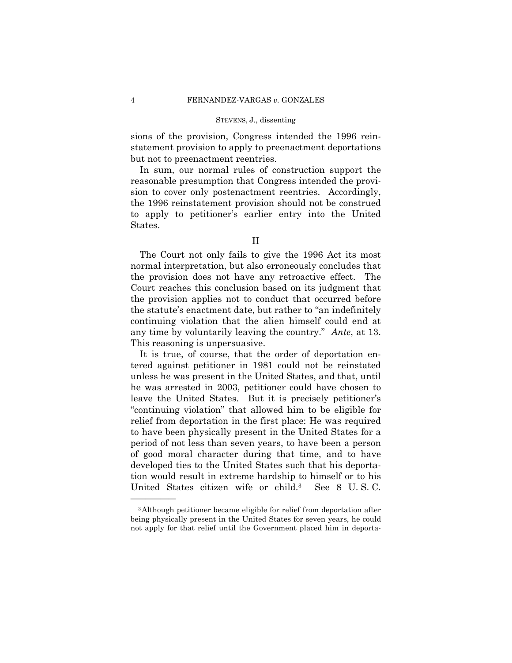sions of the provision, Congress intended the 1996 reinstatement provision to apply to preenactment deportations but not to preenactment reentries.

In sum, our normal rules of construction support the reasonable presumption that Congress intended the provision to cover only postenactment reentries. Accordingly, the 1996 reinstatement provision should not be construed to apply to petitioner's earlier entry into the United States.

The Court not only fails to give the 1996 Act its most normal interpretation, but also erroneously concludes that the provision does not have any retroactive effect. The Court reaches this conclusion based on its judgment that the provision applies not to conduct that occurred before the statute's enactment date, but rather to "an indefinitely continuing violation that the alien himself could end at any time by voluntarily leaving the country." *Ante*, at 13. This reasoning is unpersuasive.

It is true, of course, that the order of deportation entered against petitioner in 1981 could not be reinstated unless he was present in the United States, and that, until he was arrested in 2003, petitioner could have chosen to leave the United States. But it is precisely petitioner's "continuing violation" that allowed him to be eligible for relief from deportation in the first place: He was required to have been physically present in the United States for a period of not less than seven years, to have been a person of good moral character during that time, and to have developed ties to the United States such that his deportation would result in extreme hardship to himself or to his United States citizen wife or child.3 See 8 U. S. C.

II

<sup>3</sup>Although petitioner became eligible for relief from deportation after being physically present in the United States for seven years, he could not apply for that relief until the Government placed him in deporta-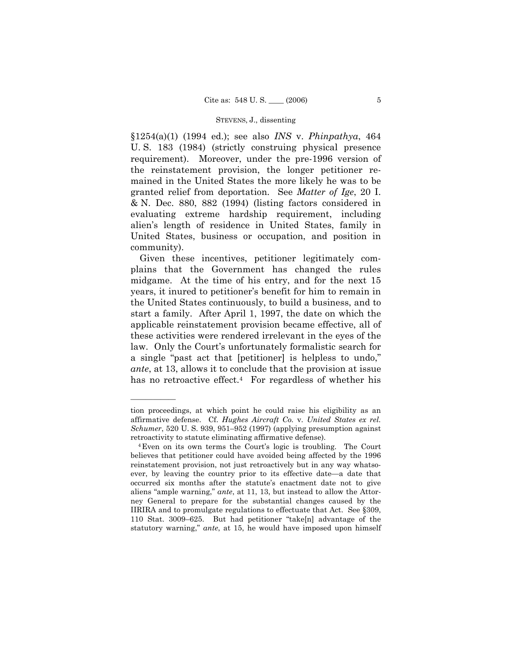§1254(a)(1) (1994 ed.); see also *INS* v. *Phinpathya*, 464 U. S. 183 (1984) (strictly construing physical presence requirement). Moreover, under the pre-1996 version of the reinstatement provision, the longer petitioner remained in the United States the more likely he was to be granted relief from deportation. See *Matter of Ige*, 20 I. & N. Dec. 880, 882 (1994) (listing factors considered in evaluating extreme hardship requirement, including alien's length of residence in United States, family in United States, business or occupation, and position in community).

Given these incentives, petitioner legitimately complains that the Government has changed the rules midgame. At the time of his entry, and for the next 15 years, it inured to petitioner's benefit for him to remain in the United States continuously, to build a business, and to start a family. After April 1, 1997, the date on which the applicable reinstatement provision became effective, all of these activities were rendered irrelevant in the eyes of the law. Only the Court's unfortunately formalistic search for a single "past act that [petitioner] is helpless to undo," *ante*, at 13, allows it to conclude that the provision at issue has no retroactive effect.<sup>4</sup> For regardless of whether his

tion proceedings, at which point he could raise his eligibility as an affirmative defense. Cf. *Hughes Aircraft Co.* v. *United States ex rel. Schumer*, 520 U. S. 939, 951–952 (1997) (applying presumption against retroactivity to statute eliminating affirmative defense). 4Even on its own terms the Court's logic is troubling. The Court

believes that petitioner could have avoided being affected by the 1996 reinstatement provision, not just retroactively but in any way whatsoever, by leaving the country prior to its effective date—a date that occurred six months after the statute's enactment date not to give aliens "ample warning," *ante*, at 11, 13, but instead to allow the Attorney General to prepare for the substantial changes caused by the IIRIRA and to promulgate regulations to effectuate that Act. See §309, 110 Stat. 3009–625. But had petitioner "take[n] advantage of the statutory warning," *ante*, at 15, he would have imposed upon himself